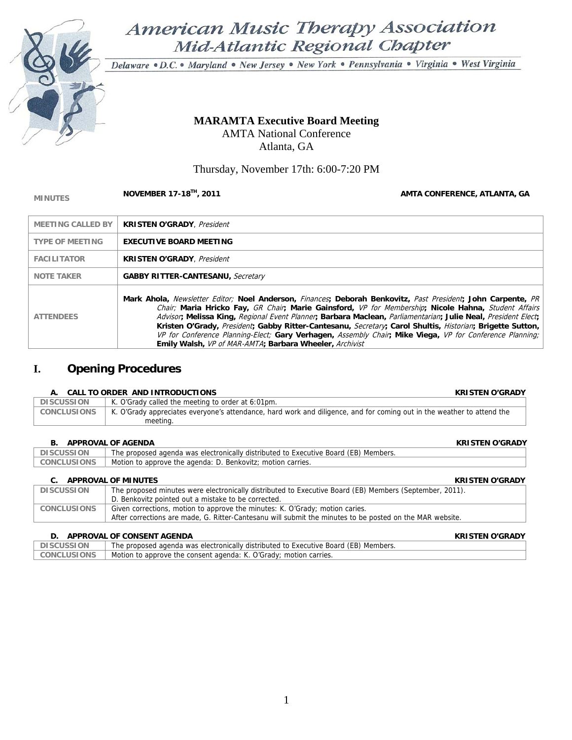

American Music Therapy Association Mid-Atlantic Regional Chapter

Delaware · D.C. · Maryland · New Jersey · New York · Pennsylvania · Virginia · West Virginia

## **MARAMTA Executive Board Meeting**  AMTA National Conference Atlanta, GA

Thursday, November 17th: 6:00-7:20 PM

## **MINUTES NOVEMBER 17-18<sup>TH</sup>, 2011 AMTA CONFERENCE, ATLANTA, GA AMTA CONFERENCE, ATLANTA, GA**

| <b>MEETING CALLED BY</b> | <b>KRISTEN O'GRADY</b> , President                                                                                                                                                                                                                                                                                                                                                                                                                                                                                                                                                                                        |
|--------------------------|---------------------------------------------------------------------------------------------------------------------------------------------------------------------------------------------------------------------------------------------------------------------------------------------------------------------------------------------------------------------------------------------------------------------------------------------------------------------------------------------------------------------------------------------------------------------------------------------------------------------------|
| <b>TYPE OF MEETING</b>   | <b>EXECUTIVE BOARD MEETING</b>                                                                                                                                                                                                                                                                                                                                                                                                                                                                                                                                                                                            |
| <b>FACILITATOR</b>       | <b>KRISTEN O'GRADY</b> . President                                                                                                                                                                                                                                                                                                                                                                                                                                                                                                                                                                                        |
| <b>NOTE TAKER</b>        | <b>GABBY RITTER-CANTESANU, Secretary</b>                                                                                                                                                                                                                                                                                                                                                                                                                                                                                                                                                                                  |
| <b>ATTENDEES</b>         | Mark Ahola, Newsletter Editor; Noel Anderson, Finances; Deborah Benkovitz, Past President; John Carpente, PR<br>Chair; Maria Hricko Fay, GR Chair, Marie Gainsford, VP for Membership; Nicole Hahna, Student Affairs<br>Advisor, Melissa King, Regional Event Planner, Barbara Maclean, Parliamentarian; Julie Neal, President Elect;<br>Kristen O'Grady, President; Gabby Ritter-Cantesanu, Secretary; Carol Shultis, Historian; Brigette Sutton,<br>VP for Conference Planning-Elect; Gary Verhagen, Assembly Chair, Mike Viega, VP for Conference Planning;<br>Emily Walsh, VP of MAR-AMTA; Barbara Wheeler, Archivist |

## **I. Opening Procedures**

#### **A. CALL TO ORDER AND INTRODUCTIONS KRISTEN O'GRADY**

| ' DISCUSSION       | K. O'Grady called the meeting to order at 6:01pm.                                                                      |  |
|--------------------|------------------------------------------------------------------------------------------------------------------------|--|
| <b>CONCLUSIONS</b> | K. O'Grady appreciates everyone's attendance, hard work and diligence, and for coming out in the weather to attend the |  |
|                    | meeting.                                                                                                               |  |

### **B. APPROVAL OF AGENDA KRISTEN O'GRADY**

| $P: \n\begin{array}{ccc}\n\ldots & \ldots & \ldots\n\end{array}$<br>$\sim$ |                                                                                     |  |
|----------------------------------------------------------------------------|-------------------------------------------------------------------------------------|--|
| <b>DISCUSSION</b>                                                          | The proposed agenda was electronically distributed to Executive Board (EB) Members. |  |
| <b>CONCLUSIONS</b>                                                         | Motion to approve the agenda: D. Benkovitz; motion carries.                         |  |

#### **C.** APPROVAL OF MINUTES **ALCOHOL CONSUMING THE CONSUMING THE CONSUMING THE CONSUMING THE CONSUMING THE CONSUMING THE CONSUMING THE CONSUMING THE CONSUMING THE CONSUMING THE CONSUMING THE CONSUMING THE CONSUMING THE CONS**

| <b>DISCUSSION</b>  | The proposed minutes were electronically distributed to Executive Board (EB) Members (September, 2011).<br>D. Benkovitz pointed out a mistake to be corrected.                           |
|--------------------|------------------------------------------------------------------------------------------------------------------------------------------------------------------------------------------|
| <b>CONCLUSIONS</b> | Given corrections, motion to approve the minutes: K. O'Grady; motion caries.<br>After corrections are made, G. Ritter-Cantesanu will submit the minutes to be posted on the MAR website. |

#### **D. APPROVAL OF CONSENT AGENDA KRISTEN O'GRADY**

| <b>DISCUSSION</b>  | The proposed agenda was electronically distributed to Executive Board (EB) Members. |
|--------------------|-------------------------------------------------------------------------------------|
| <b>CONCLUSIONS</b> | Motion to approve the consent agenda: K. O'Grady; motion carries.                   |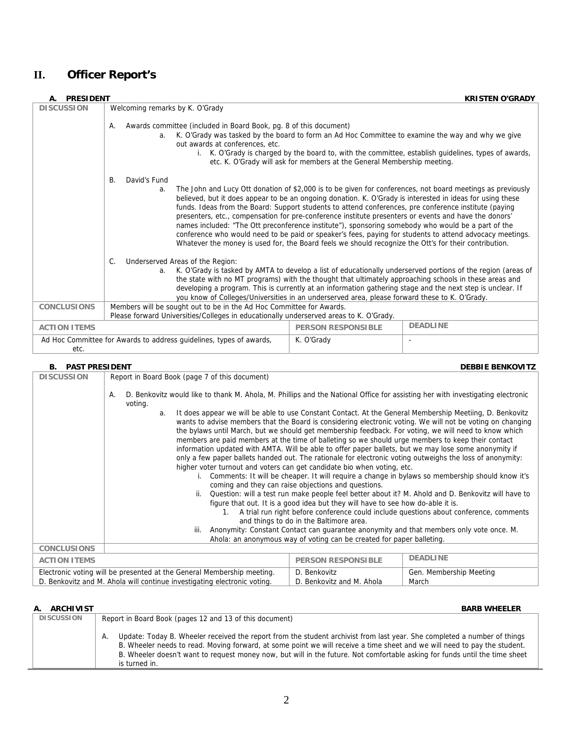# **II. Officer Report's**

| <b>PRESIDENT</b>    |                                                                                                                                                                                                                                                                                                                                                                                                                                                                                                                                                                                                                                                                                                                                                                                                         | <b>KRISTEN O'GRADY</b> |  |
|---------------------|---------------------------------------------------------------------------------------------------------------------------------------------------------------------------------------------------------------------------------------------------------------------------------------------------------------------------------------------------------------------------------------------------------------------------------------------------------------------------------------------------------------------------------------------------------------------------------------------------------------------------------------------------------------------------------------------------------------------------------------------------------------------------------------------------------|------------------------|--|
| <b>DISCUSSION</b>   | Welcoming remarks by K. O'Grady                                                                                                                                                                                                                                                                                                                                                                                                                                                                                                                                                                                                                                                                                                                                                                         |                        |  |
|                     | Awards committee (included in Board Book, pg. 8 of this document)<br>А.<br>K. O'Grady was tasked by the board to form an Ad Hoc Committee to examine the way and why we give<br>a <sub>z</sub><br>out awards at conferences, etc.<br>i. K. O'Grady is charged by the board to, with the committee, establish guidelines, types of awards,<br>etc. K. O'Grady will ask for members at the General Membership meeting.                                                                                                                                                                                                                                                                                                                                                                                    |                        |  |
|                     | David's Fund<br><b>B.</b><br>The John and Lucy Ott donation of \$2,000 is to be given for conferences, not board meetings as previously<br>a.<br>believed, but it does appear to be an ongoing donation. K. O'Grady is interested in ideas for using these<br>funds. Ideas from the Board: Support students to attend conferences, pre conference institute (paying<br>presenters, etc., compensation for pre-conference institute presenters or events and have the donors'<br>names included: "The Ott preconference institute"), sponsoring somebody who would be a part of the<br>conference who would need to be paid or speaker's fees, paying for students to attend advocacy meetings.<br>Whatever the money is used for, the Board feels we should recognize the Ott's for their contribution. |                        |  |
|                     | Underserved Areas of the Region:<br>C.<br>K. O'Grady is tasked by AMTA to develop a list of educationally underserved portions of the region (areas of<br>a.<br>the state with no MT programs) with the thought that ultimately approaching schools in these areas and<br>developing a program. This is currently at an information gathering stage and the next step is unclear. If<br>you know of Colleges/Universities in an underserved area, please forward these to K. O'Grady.                                                                                                                                                                                                                                                                                                                   |                        |  |
| <b>CONCLUSIONS</b>  | Members will be sought out to be in the Ad Hoc Committee for Awards.<br>Please forward Universities/Colleges in educationally underserved areas to K. O'Grady.                                                                                                                                                                                                                                                                                                                                                                                                                                                                                                                                                                                                                                          |                        |  |
| <b>ACTION ITEMS</b> | <b>DEADLINE</b><br><b>PERSON RESPONSIBLE</b>                                                                                                                                                                                                                                                                                                                                                                                                                                                                                                                                                                                                                                                                                                                                                            |                        |  |
| etc.                | Ad Hoc Committee for Awards to address quidelines, types of awards,<br>K. O'Grady                                                                                                                                                                                                                                                                                                                                                                                                                                                                                                                                                                                                                                                                                                                       |                        |  |

## **B.** PAST PRESIDENT DEBBIE BENKOVITZ

| <b>DISCUSSION</b>   | Report in Board Book (page 7 of this document)                                                                                                                                                                                                                                                                                                                                                                                                                                                                                                                                                                                                                                                                                                                                                                                                                                                                                                                                                                                                                                                                                                                                                             |                                                                       |                         |  |  |
|---------------------|------------------------------------------------------------------------------------------------------------------------------------------------------------------------------------------------------------------------------------------------------------------------------------------------------------------------------------------------------------------------------------------------------------------------------------------------------------------------------------------------------------------------------------------------------------------------------------------------------------------------------------------------------------------------------------------------------------------------------------------------------------------------------------------------------------------------------------------------------------------------------------------------------------------------------------------------------------------------------------------------------------------------------------------------------------------------------------------------------------------------------------------------------------------------------------------------------------|-----------------------------------------------------------------------|-------------------------|--|--|
|                     | D. Benkovitz would like to thank M. Ahola, M. Phillips and the National Office for assisting her with investigating electronic<br>А.<br>voting.                                                                                                                                                                                                                                                                                                                                                                                                                                                                                                                                                                                                                                                                                                                                                                                                                                                                                                                                                                                                                                                            |                                                                       |                         |  |  |
|                     | It does appear we will be able to use Constant Contact. At the General Membership Meetiing, D. Benkovitz<br>a.<br>wants to advise members that the Board is considering electronic voting. We will not be voting on changing<br>the bylaws until March, but we should get membership feedback. For voting, we will need to know which<br>members are paid members at the time of balleting so we should urge members to keep their contact<br>information updated with AMTA. Will be able to offer paper ballets, but we may lose some anonymity if<br>only a few paper ballets handed out. The rationale for electronic voting outweighs the loss of anonymity:<br>higher voter turnout and voters can get candidate bio when voting, etc.<br>Comments: It will be cheaper. It will require a change in bylaws so membership should know it's<br>coming and they can raise objections and questions.<br>Question: will a test run make people feel better about it? M. Ahold and D. Benkovitz will have to<br>figure that out. It is a good idea but they will have to see how do-able it is.<br>A trial run right before conference could include questions about conference, comments<br>$\mathbf{1}$ . |                                                                       |                         |  |  |
|                     | and things to do in the Baltimore area.<br>Anonymity: Constant Contact can guarantee anonymity and that members only vote once. M.<br>iii.                                                                                                                                                                                                                                                                                                                                                                                                                                                                                                                                                                                                                                                                                                                                                                                                                                                                                                                                                                                                                                                                 |                                                                       |                         |  |  |
|                     |                                                                                                                                                                                                                                                                                                                                                                                                                                                                                                                                                                                                                                                                                                                                                                                                                                                                                                                                                                                                                                                                                                                                                                                                            | Ahola: an anonymous way of voting can be created for paper balleting. |                         |  |  |
| <b>CONCLUSIONS</b>  |                                                                                                                                                                                                                                                                                                                                                                                                                                                                                                                                                                                                                                                                                                                                                                                                                                                                                                                                                                                                                                                                                                                                                                                                            |                                                                       |                         |  |  |
| <b>ACTION ITEMS</b> | <b>DEADLINE</b><br><b>PERSON RESPONSIBLE</b>                                                                                                                                                                                                                                                                                                                                                                                                                                                                                                                                                                                                                                                                                                                                                                                                                                                                                                                                                                                                                                                                                                                                                               |                                                                       |                         |  |  |
|                     | Electronic voting will be presented at the General Membership meeting.                                                                                                                                                                                                                                                                                                                                                                                                                                                                                                                                                                                                                                                                                                                                                                                                                                                                                                                                                                                                                                                                                                                                     | D. Benkovitz                                                          | Gen. Membership Meeting |  |  |
|                     | D. Benkovitz and M. Ahola will continue investigating electronic voting.                                                                                                                                                                                                                                                                                                                                                                                                                                                                                                                                                                                                                                                                                                                                                                                                                                                                                                                                                                                                                                                                                                                                   | D. Benkovitz and M. Ahola                                             | March                   |  |  |

## **A. ARCHIVIST BARB WHEELER**

| <b>DISCUSSION</b> | Report in Board Book (pages 12 and 13 of this document)                                                                                                                                                                                                                                                                                                                                                     |  |  |  |  |
|-------------------|-------------------------------------------------------------------------------------------------------------------------------------------------------------------------------------------------------------------------------------------------------------------------------------------------------------------------------------------------------------------------------------------------------------|--|--|--|--|
|                   | Update: Today B. Wheeler received the report from the student archivist from last year. She completed a number of things<br>Α.<br>B. Wheeler needs to read. Moving forward, at some point we will receive a time sheet and we will need to pay the student.<br>B. Wheeler doesn't want to request money now, but will in the future. Not comfortable asking for funds until the time sheet<br>is turned in. |  |  |  |  |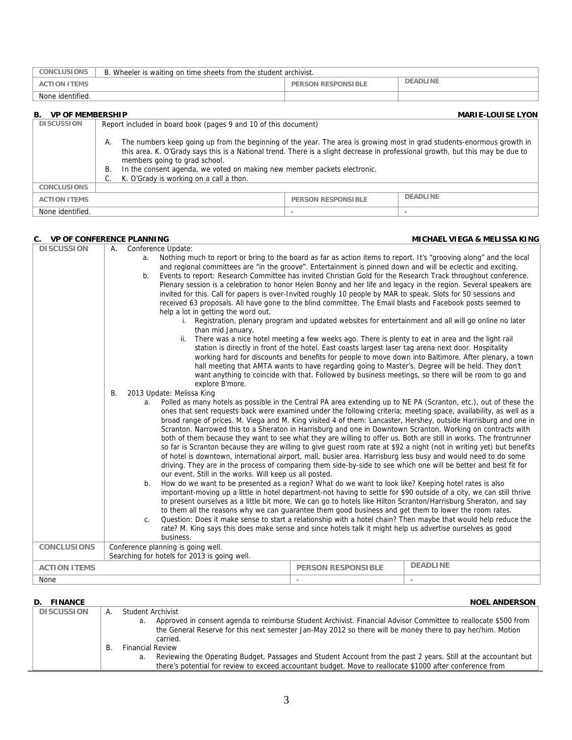| <b>CONCLUSIONS</b>                                        | B. Wheeler is waiting on time sheets from the student archivist.                                                             |                           |          |  |
|-----------------------------------------------------------|------------------------------------------------------------------------------------------------------------------------------|---------------------------|----------|--|
| <b>ACTION ITEMS</b>                                       |                                                                                                                              | <b>PERSON RESPONSIBLE</b> | DEADLINE |  |
| None identified.                                          |                                                                                                                              |                           |          |  |
| <b>VP OF MEMBERSHIP</b><br><b>MARIE-LOUISE LYON</b><br>В. |                                                                                                                              |                           |          |  |
| <b>DISCUSSION</b>                                         | Report included in board book (pages 9 and 10 of this document)                                                              |                           |          |  |
|                                                           | The numbers keep going up from the beginning of the year. The area is growing most in grad students-enormous growth in<br>А. |                           |          |  |

|                     | this area. K. O'Grady says this is a National trend. There is a slight decrease in professional growth, but this may be due to<br>members going to grad school.<br>In the consent agenda, we voted on making new member packets electronic.<br>C. K. O'Grady is working on a call a thon. |                    |                 |
|---------------------|-------------------------------------------------------------------------------------------------------------------------------------------------------------------------------------------------------------------------------------------------------------------------------------------|--------------------|-----------------|
| <b>CONCLUSIONS</b>  |                                                                                                                                                                                                                                                                                           |                    |                 |
| <b>ACTION ITEMS</b> |                                                                                                                                                                                                                                                                                           | PERSON RESPONSIBLE | <b>DEADLINE</b> |

None identified.

| C. VP OF CONFERENCE PLANNING |                                               |                                                                                                                                                                                                                                                                                                                                                                                                                                                                                                                                                                                                                                                                                                                                                                                                                                                                                                                                                                                                                                                                                                                                                                                                                                                         |                                                                                                                                                                                                                | MICHAEL VIEGA & MELISSA KING                                                                                                                                                                                                                                                                                                                                                                                                                                                                                                                                                                                                                                                                                                                                                                                                                                                                                                                                                                                                                                                                                                                                                                                                                                                      |
|------------------------------|-----------------------------------------------|---------------------------------------------------------------------------------------------------------------------------------------------------------------------------------------------------------------------------------------------------------------------------------------------------------------------------------------------------------------------------------------------------------------------------------------------------------------------------------------------------------------------------------------------------------------------------------------------------------------------------------------------------------------------------------------------------------------------------------------------------------------------------------------------------------------------------------------------------------------------------------------------------------------------------------------------------------------------------------------------------------------------------------------------------------------------------------------------------------------------------------------------------------------------------------------------------------------------------------------------------------|----------------------------------------------------------------------------------------------------------------------------------------------------------------------------------------------------------------|-----------------------------------------------------------------------------------------------------------------------------------------------------------------------------------------------------------------------------------------------------------------------------------------------------------------------------------------------------------------------------------------------------------------------------------------------------------------------------------------------------------------------------------------------------------------------------------------------------------------------------------------------------------------------------------------------------------------------------------------------------------------------------------------------------------------------------------------------------------------------------------------------------------------------------------------------------------------------------------------------------------------------------------------------------------------------------------------------------------------------------------------------------------------------------------------------------------------------------------------------------------------------------------|
| <b>DISCUSSION</b>            | А.<br>a.<br>b.<br><b>B.</b><br>b <sub>1</sub> | Conference Update:<br>Nothing much to report or bring to the board as far as action items to report. It's "grooving along" and the local<br>and regional committees are "in the groove". Entertainment is pinned down and will be eclectic and exciting.<br>Events to report: Research Committee has invited Christian Gold for the Research Track throughout conference.<br>invited for this. Call for papers is over-Invited roughly 10 people by MAR to speak. Slots for 50 sessions and<br>received 63 proposals. All have gone to the blind committee. The Email blasts and Facebook posts seemed to<br>help a lot in getting the word out.<br>than mid January.<br>explore B'more.<br>2013 Update: Melissa King<br>a. Polled as many hotels as possible in the Central PA area extending up to NE PA (Scranton, etc.), out of these the<br>of hotel is downtown, international airport, mall, busier area. Harrisburg less busy and would need to do some<br>driving. They are in the process of comparing them side-by-side to see which one will be better and best fit for<br>our event. Still in the works. Will keep us all posted.<br>How do we want to be presented as a region? What do we want to look like? Keeping hotel rates is also | ii. There was a nice hotel meeting a few weeks ago. There is plenty to eat in area and the light rail<br>station is directly in front of the hotel. East coasts largest laser tag arena next door. Hospitality | Plenary session is a celebration to honor Helen Bonny and her life and legacy in the region. Several speakers are<br>i. Registration, plenary program and updated websites for entertainment and all will go online no later<br>working hard for discounts and benefits for people to move down into Baltimore. After plenary, a town<br>hall meeting that AMTA wants to have regarding going to Master's. Degree will be held. They don't<br>want anything to coincide with that. Followed by business meetings, so there will be room to go and<br>ones that sent requests back were examined under the following criteria; meeting space, availability, as well as a<br>broad range of prices. M. Viega and M. King visited 4 of them: Lancaster, Hershey, outside Harrisburg and one in<br>Scranton. Narrowed this to a Sheraton in Harrisburg and one in Downtown Scranton. Working on contracts with<br>both of them because they want to see what they are willing to offer us. Both are still in works. The frontrunner<br>so far is Scranton because they are willing to give guest room rate at \$92 a night (not in writing yet) but benefits<br>important-moving up a little in hotel department-not having to settle for \$90 outside of a city, we can still thrive |
|                              | C.                                            | to present ourselves as a little bit more. We can go to hotels like Hilton Scranton/Harrisburg Sheraton, and say<br>to them all the reasons why we can guarantee them good business and get them to lower the room rates.<br>rate? M. King says this does make sense and since hotels talk it might help us advertise ourselves as good<br>business.                                                                                                                                                                                                                                                                                                                                                                                                                                                                                                                                                                                                                                                                                                                                                                                                                                                                                                    |                                                                                                                                                                                                                | Question: Does it make sense to start a relationship with a hotel chain? Then maybe that would help reduce the                                                                                                                                                                                                                                                                                                                                                                                                                                                                                                                                                                                                                                                                                                                                                                                                                                                                                                                                                                                                                                                                                                                                                                    |
| <b>CONCLUSIONS</b>           |                                               | Conference planning is going well.<br>Searching for hotels for 2013 is going well.                                                                                                                                                                                                                                                                                                                                                                                                                                                                                                                                                                                                                                                                                                                                                                                                                                                                                                                                                                                                                                                                                                                                                                      |                                                                                                                                                                                                                |                                                                                                                                                                                                                                                                                                                                                                                                                                                                                                                                                                                                                                                                                                                                                                                                                                                                                                                                                                                                                                                                                                                                                                                                                                                                                   |
| <b>ACTION ITEMS</b>          |                                               |                                                                                                                                                                                                                                                                                                                                                                                                                                                                                                                                                                                                                                                                                                                                                                                                                                                                                                                                                                                                                                                                                                                                                                                                                                                         | <b>PERSON RESPONSIBLE</b>                                                                                                                                                                                      | <b>DEADLINE</b>                                                                                                                                                                                                                                                                                                                                                                                                                                                                                                                                                                                                                                                                                                                                                                                                                                                                                                                                                                                                                                                                                                                                                                                                                                                                   |
| None                         |                                               |                                                                                                                                                                                                                                                                                                                                                                                                                                                                                                                                                                                                                                                                                                                                                                                                                                                                                                                                                                                                                                                                                                                                                                                                                                                         |                                                                                                                                                                                                                |                                                                                                                                                                                                                                                                                                                                                                                                                                                                                                                                                                                                                                                                                                                                                                                                                                                                                                                                                                                                                                                                                                                                                                                                                                                                                   |

## **D. FINANCE** NOEL ANDERSON

| <b>DISCUSSION</b> | A. | Student Archivist                                                                                                     |
|-------------------|----|-----------------------------------------------------------------------------------------------------------------------|
|                   |    | Approved in consent agenda to reimburse Student Archivist. Financial Advisor Committee to reallocate \$500 from<br>а. |
|                   |    | the General Reserve for this next semester Jan-May 2012 so there will be money there to pay her/him. Motion           |
|                   |    | carried.                                                                                                              |
|                   |    | <b>Financial Review</b>                                                                                               |
|                   |    | Reviewing the Operating Budget, Passages and Student Account from the past 2 years. Still at the accountant but<br>а. |
|                   |    | there's potential for review to exceed accountant budget. Move to reallocate \$1000 after conference from             |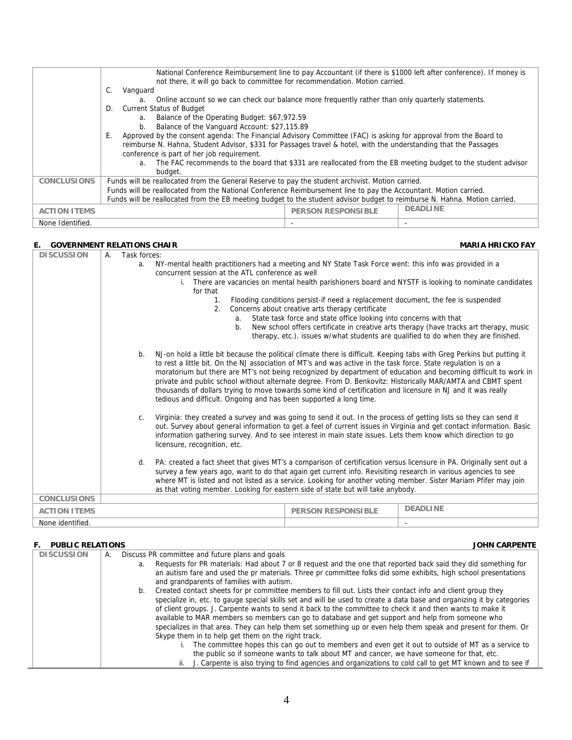|                     | National Conference Reimbursement line to pay Accountant (if there is \$1000 left after conference). If money is<br>not there, it will go back to committee for recommendation. Motion carried. |  |  |  |  |
|---------------------|-------------------------------------------------------------------------------------------------------------------------------------------------------------------------------------------------|--|--|--|--|
|                     | C.<br>Vanguard                                                                                                                                                                                  |  |  |  |  |
|                     | Online account so we can check our balance more frequently rather than only quarterly statements.<br>a.                                                                                         |  |  |  |  |
|                     | <b>Current Status of Budget</b><br>D.                                                                                                                                                           |  |  |  |  |
|                     | Balance of the Operating Budget: \$67,972.59<br>a.                                                                                                                                              |  |  |  |  |
|                     | Balance of the Vanguard Account: \$27,115.89<br>b.                                                                                                                                              |  |  |  |  |
|                     | Approved by the consent agenda: The Financial Advisory Committee (FAC) is asking for approval from the Board to<br>Е.                                                                           |  |  |  |  |
|                     | reimburse N. Hahna, Student Advisor, \$331 for Passages travel & hotel, with the understanding that the Passages                                                                                |  |  |  |  |
|                     | conference is part of her job requirement.                                                                                                                                                      |  |  |  |  |
|                     | The FAC recommends to the board that \$331 are reallocated from the EB meeting budget to the student advisor<br>a.                                                                              |  |  |  |  |
|                     | budget.                                                                                                                                                                                         |  |  |  |  |
| <b>CONCLUSIONS</b>  | Funds will be reallocated from the General Reserve to pay the student archivist. Motion carried.                                                                                                |  |  |  |  |
|                     | Funds will be reallocated from the National Conference Reimbursement line to pay the Accountant. Motion carried.                                                                                |  |  |  |  |
|                     | Funds will be reallocated from the EB meeting budget to the student advisor budget to reimburse N. Hahna. Motion carried.                                                                       |  |  |  |  |
| <b>ACTION ITEMS</b> | <b>DEADLINE</b><br><b>PERSON RESPONSIBLE</b>                                                                                                                                                    |  |  |  |  |
| None Identified.    |                                                                                                                                                                                                 |  |  |  |  |

#### **E.** GOVERNMENT RELATIONS CHAIR MARIA HRICKO FAY **MARIA HRICKO FAY**

| <b>DISCUSSION</b>                                                                                                                                                                                                                                                                                                                                                                                                                                                                                                                                                                                                                                                                                                                                                                                                                                                                                                                                                                                                                                   | Α. | Task forces: |                                                                                                                                                                                                   |                                                                   |                                                                                                                                                                                                                                          |
|-----------------------------------------------------------------------------------------------------------------------------------------------------------------------------------------------------------------------------------------------------------------------------------------------------------------------------------------------------------------------------------------------------------------------------------------------------------------------------------------------------------------------------------------------------------------------------------------------------------------------------------------------------------------------------------------------------------------------------------------------------------------------------------------------------------------------------------------------------------------------------------------------------------------------------------------------------------------------------------------------------------------------------------------------------|----|--------------|---------------------------------------------------------------------------------------------------------------------------------------------------------------------------------------------------|-------------------------------------------------------------------|------------------------------------------------------------------------------------------------------------------------------------------------------------------------------------------------------------------------------------------|
|                                                                                                                                                                                                                                                                                                                                                                                                                                                                                                                                                                                                                                                                                                                                                                                                                                                                                                                                                                                                                                                     |    | a.           | NY-mental health practitioners had a meeting and NY State Task Force went: this info was provided in a                                                                                            |                                                                   |                                                                                                                                                                                                                                          |
|                                                                                                                                                                                                                                                                                                                                                                                                                                                                                                                                                                                                                                                                                                                                                                                                                                                                                                                                                                                                                                                     |    |              | concurrent session at the ATL conference as well                                                                                                                                                  |                                                                   |                                                                                                                                                                                                                                          |
|                                                                                                                                                                                                                                                                                                                                                                                                                                                                                                                                                                                                                                                                                                                                                                                                                                                                                                                                                                                                                                                     |    |              | i. There are vacancies on mental health parishioners board and NYSTF is looking to nominate candidates                                                                                            |                                                                   |                                                                                                                                                                                                                                          |
|                                                                                                                                                                                                                                                                                                                                                                                                                                                                                                                                                                                                                                                                                                                                                                                                                                                                                                                                                                                                                                                     |    |              | for that                                                                                                                                                                                          |                                                                   |                                                                                                                                                                                                                                          |
|                                                                                                                                                                                                                                                                                                                                                                                                                                                                                                                                                                                                                                                                                                                                                                                                                                                                                                                                                                                                                                                     |    |              | Flooding conditions persist-if need a replacement document, the fee is suspended<br>$\mathbf{1}$ .<br>Concerns about creative arts therapy certificate<br>2.                                      |                                                                   |                                                                                                                                                                                                                                          |
|                                                                                                                                                                                                                                                                                                                                                                                                                                                                                                                                                                                                                                                                                                                                                                                                                                                                                                                                                                                                                                                     |    |              |                                                                                                                                                                                                   |                                                                   |                                                                                                                                                                                                                                          |
|                                                                                                                                                                                                                                                                                                                                                                                                                                                                                                                                                                                                                                                                                                                                                                                                                                                                                                                                                                                                                                                     |    |              | a.                                                                                                                                                                                                | State task force and state office looking into concerns with that |                                                                                                                                                                                                                                          |
|                                                                                                                                                                                                                                                                                                                                                                                                                                                                                                                                                                                                                                                                                                                                                                                                                                                                                                                                                                                                                                                     |    |              | b.                                                                                                                                                                                                |                                                                   | New school offers certificate in creative arts therapy (have tracks art therapy, music                                                                                                                                                   |
|                                                                                                                                                                                                                                                                                                                                                                                                                                                                                                                                                                                                                                                                                                                                                                                                                                                                                                                                                                                                                                                     |    |              |                                                                                                                                                                                                   |                                                                   | therapy, etc.). issues w/what students are qualified to do when they are finished.                                                                                                                                                       |
| NJ-on hold a little bit because the political climate there is difficult. Keeping tabs with Greg Perkins but putting it<br>b.<br>to rest a little bit. On the NJ association of MT's and was active in the task force. State regulation is on a<br>moratorium but there are MT's not being recognized by department of education and becoming difficult to work in<br>private and public school without alternate degree. From D. Benkovitz: Historically MAR/AMTA and CBMT spent<br>thousands of dollars trying to move towards some kind of certification and licensure in NJ and it was really<br>tedious and difficult. Ongoing and has been supported a long time.<br>Virginia: they created a survey and was going to send it out. In the process of getting lists so they can send it<br>$C_{\cdot}$<br>out. Survey about general information to get a feel of current issues in Virginia and get contact information. Basic<br>information gathering survey. And to see interest in main state issues. Lets them know which direction to go |    |              |                                                                                                                                                                                                   |                                                                   |                                                                                                                                                                                                                                          |
|                                                                                                                                                                                                                                                                                                                                                                                                                                                                                                                                                                                                                                                                                                                                                                                                                                                                                                                                                                                                                                                     |    |              | licensure, recognition, etc.                                                                                                                                                                      |                                                                   |                                                                                                                                                                                                                                          |
|                                                                                                                                                                                                                                                                                                                                                                                                                                                                                                                                                                                                                                                                                                                                                                                                                                                                                                                                                                                                                                                     |    | d.           | survey a few years ago, want to do that again get current info. Revisiting research in various agencies to see<br>as that voting member. Looking for eastern side of state but will take anybody. |                                                                   | PA: created a fact sheet that gives MT's a comparison of certification versus licensure in PA. Originally sent out a<br>where MT is listed and not listed as a service. Looking for another voting member. Sister Mariam Pfifer may join |
| <b>CONCLUSIONS</b>                                                                                                                                                                                                                                                                                                                                                                                                                                                                                                                                                                                                                                                                                                                                                                                                                                                                                                                                                                                                                                  |    |              |                                                                                                                                                                                                   |                                                                   |                                                                                                                                                                                                                                          |
| <b>ACTION ITEMS</b>                                                                                                                                                                                                                                                                                                                                                                                                                                                                                                                                                                                                                                                                                                                                                                                                                                                                                                                                                                                                                                 |    |              |                                                                                                                                                                                                   | <b>PERSON RESPONSIBLE</b>                                         | <b>DEADLINE</b>                                                                                                                                                                                                                          |
| None identified.                                                                                                                                                                                                                                                                                                                                                                                                                                                                                                                                                                                                                                                                                                                                                                                                                                                                                                                                                                                                                                    |    |              |                                                                                                                                                                                                   |                                                                   |                                                                                                                                                                                                                                          |

### **F. PUBLIC RELATIONS**

| <b>JOHN CARPENTE</b> |
|----------------------|
|                      |

| <b>DISCUSSION</b> | А. | Discuss PR committee and future plans and goals                                                                        |
|-------------------|----|------------------------------------------------------------------------------------------------------------------------|
|                   |    | Requests for PR materials: Had about 7 or 8 request and the one that reported back said they did something for<br>a.   |
|                   |    | an autism fare and used the pr materials. Three pr committee folks did some exhibits, high school presentations        |
|                   |    | and grandparents of families with autism.                                                                              |
|                   |    | Created contact sheets for pr committee members to fill out. Lists their contact info and client group they            |
|                   |    | specialize in, etc. to gauge special skills set and will be used to create a data base and organizing it by categories |
|                   |    | of client groups. J. Carpente wants to send it back to the committee to check it and then wants to make it             |
|                   |    | available to MAR members so members can go to database and get support and help from someone who                       |
|                   |    | specializes in that area. They can help them set something up or even help them speak and present for them. Or         |
|                   |    | Skype them in to help get them on the right track.                                                                     |
|                   |    | The committee hopes this can go out to members and even get it out to outside of MT as a service to                    |
|                   |    | the public so if someone wants to talk about MT and cancer, we have someone for that, etc.                             |
|                   |    | J. Carpente is also trying to find agencies and organizations to cold call to get MT known and to see if               |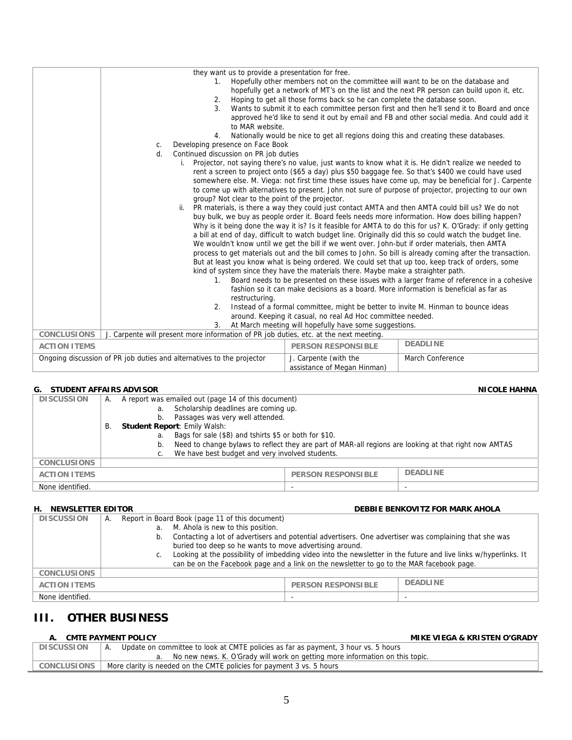|                                                                                                                                                   | they want us to provide a presentation for free.<br>1.<br>2.<br>3 <sup>1</sup><br>to MAR website.<br>4.<br>Developing presence on Face Book<br>C.<br>Continued discussion on PR job duties<br>d.<br>group? Not clear to the point of the projector.<br>$1_{-}$<br>restructuring.<br>2.<br>3. | Hopefully other members not on the committee will want to be on the database and<br>Hoping to get all those forms back so he can complete the database soon.<br>Nationally would be nice to get all regions doing this and creating these databases.<br>We wouldn't know until we get the bill if we went over. John-but if order materials, then AMTA<br>kind of system since they have the materials there. Maybe make a straighter path.<br>fashion so it can make decisions as a board. More information is beneficial as far as<br>Instead of a formal committee, might be better to invite M. Hinman to bounce ideas<br>around. Keeping it casual, no real Ad Hoc committee needed.<br>At March meeting will hopefully have some suggestions. | hopefully get a network of MT's on the list and the next PR person can build upon it, etc.<br>Wants to submit it to each committee person first and then he'll send it to Board and once<br>approved he'd like to send it out by email and FB and other social media. And could add it<br>Projector, not saying there's no value, just wants to know what it is. He didn't realize we needed to<br>rent a screen to project onto (\$65 a day) plus \$50 baggage fee. So that's \$400 we could have used<br>somewhere else. M. Viega: not first time these issues have come up, may be beneficial for J. Carpente<br>to come up with alternatives to present. John not sure of purpose of projector, projecting to our own<br>ii. PR materials, is there a way they could just contact AMTA and then AMTA could bill us? We do not<br>buy bulk, we buy as people order it. Board feels needs more information. How does billing happen?<br>Why is it being done the way it is? Is it feasible for AMTA to do this for us? K. O'Grady: if only getting<br>a bill at end of day, difficult to watch budget line. Originally did this so could watch the budget line.<br>process to get materials out and the bill comes to John. So bill is already coming after the transaction.<br>But at least you know what is being ordered. We could set that up too, keep track of orders, some<br>Board needs to be presented on these issues with a larger frame of reference in a cohesive |
|---------------------------------------------------------------------------------------------------------------------------------------------------|----------------------------------------------------------------------------------------------------------------------------------------------------------------------------------------------------------------------------------------------------------------------------------------------|-----------------------------------------------------------------------------------------------------------------------------------------------------------------------------------------------------------------------------------------------------------------------------------------------------------------------------------------------------------------------------------------------------------------------------------------------------------------------------------------------------------------------------------------------------------------------------------------------------------------------------------------------------------------------------------------------------------------------------------------------------|-----------------------------------------------------------------------------------------------------------------------------------------------------------------------------------------------------------------------------------------------------------------------------------------------------------------------------------------------------------------------------------------------------------------------------------------------------------------------------------------------------------------------------------------------------------------------------------------------------------------------------------------------------------------------------------------------------------------------------------------------------------------------------------------------------------------------------------------------------------------------------------------------------------------------------------------------------------------------------------------------------------------------------------------------------------------------------------------------------------------------------------------------------------------------------------------------------------------------------------------------------------------------------------------------------------------------------------------------------------------------------------------------------------------------------------------------------------------------------------|
| <b>CONCLUSIONS</b>                                                                                                                                | J. Carpente will present more information of PR job duties, etc. at the next meeting.                                                                                                                                                                                                        |                                                                                                                                                                                                                                                                                                                                                                                                                                                                                                                                                                                                                                                                                                                                                     |                                                                                                                                                                                                                                                                                                                                                                                                                                                                                                                                                                                                                                                                                                                                                                                                                                                                                                                                                                                                                                                                                                                                                                                                                                                                                                                                                                                                                                                                                   |
| <b>ACTION ITEMS</b>                                                                                                                               |                                                                                                                                                                                                                                                                                              | <b>PERSON RESPONSIBLE</b>                                                                                                                                                                                                                                                                                                                                                                                                                                                                                                                                                                                                                                                                                                                           | <b>DEADLINE</b>                                                                                                                                                                                                                                                                                                                                                                                                                                                                                                                                                                                                                                                                                                                                                                                                                                                                                                                                                                                                                                                                                                                                                                                                                                                                                                                                                                                                                                                                   |
|                                                                                                                                                   |                                                                                                                                                                                                                                                                                              |                                                                                                                                                                                                                                                                                                                                                                                                                                                                                                                                                                                                                                                                                                                                                     |                                                                                                                                                                                                                                                                                                                                                                                                                                                                                                                                                                                                                                                                                                                                                                                                                                                                                                                                                                                                                                                                                                                                                                                                                                                                                                                                                                                                                                                                                   |
| Ongoing discussion of PR job duties and alternatives to the projector<br>J. Carpente (with the<br>March Conference<br>assistance of Megan Hinman) |                                                                                                                                                                                                                                                                                              |                                                                                                                                                                                                                                                                                                                                                                                                                                                                                                                                                                                                                                                                                                                                                     |                                                                                                                                                                                                                                                                                                                                                                                                                                                                                                                                                                                                                                                                                                                                                                                                                                                                                                                                                                                                                                                                                                                                                                                                                                                                                                                                                                                                                                                                                   |

## **G.** STUDENT AFFAIRS ADVISOR **NICOLE HAHNA**

| <b>DISCUSSION</b>   | А. |    | A report was emailed out (page 14 of this document)                                                   |                           |                 |
|---------------------|----|----|-------------------------------------------------------------------------------------------------------|---------------------------|-----------------|
|                     |    | a. | Scholarship deadlines are coming up.                                                                  |                           |                 |
|                     |    | b. | Passages was very well attended.                                                                      |                           |                 |
|                     | В. |    | <b>Student Report: Emily Walsh:</b>                                                                   |                           |                 |
|                     |    | a. | Bags for sale (\$8) and tshirts \$5 or both for \$10.                                                 |                           |                 |
|                     |    | b. | Need to change bylaws to reflect they are part of MAR-all regions are looking at that right now AMTAS |                           |                 |
|                     |    |    | We have best budget and very involved students.                                                       |                           |                 |
| <b>CONCLUSIONS</b>  |    |    |                                                                                                       |                           |                 |
| <b>ACTION ITEMS</b> |    |    |                                                                                                       | <b>PERSON RESPONSIBLE</b> | <b>DEADLINE</b> |
| None identified.    |    |    |                                                                                                       | -                         |                 |

## **H. NEWSLETTER EDITOR DEBBIE BENKOVITZ FOR MARK AHOLA**

| <b>DISCUSSION</b>   | А. | Report in Board Book (page 11 of this document)                                                                       |                           |                 |
|---------------------|----|-----------------------------------------------------------------------------------------------------------------------|---------------------------|-----------------|
|                     |    | M. Ahola is new to this position.<br>a.                                                                               |                           |                 |
|                     |    | Contacting a lot of advertisers and potential advertisers. One advertiser was complaining that she was<br>b.          |                           |                 |
|                     |    | buried too deep so he wants to move advertising around.                                                               |                           |                 |
|                     |    | Looking at the possibility of imbedding video into the newsletter in the future and live links w/hyperlinks. It<br>C. |                           |                 |
|                     |    | can be on the Facebook page and a link on the newsletter to go to the MAR facebook page.                              |                           |                 |
| <b>CONCLUSIONS</b>  |    |                                                                                                                       |                           |                 |
| <b>ACTION ITEMS</b> |    |                                                                                                                       | <b>PERSON RESPONSIBLE</b> | <b>DEADLINE</b> |
| None identified.    |    |                                                                                                                       |                           |                 |

## **III. OTHER BUSINESS**

**A. CMTE PAYMENT POLICY MIKE VIEGA & KRISTEN O'GRADY** 

| <b>DISCUSSION</b>  | Update on committee to look at CMTE policies as far as payment, 3 hour vs. 5 hours |
|--------------------|------------------------------------------------------------------------------------|
|                    | No new news. K. O'Grady will work on getting more information on this topic.       |
| <b>CONCLUSIONS</b> | More clarity is needed on the CMTE policies for payment 3 vs. 5 hours              |
|                    |                                                                                    |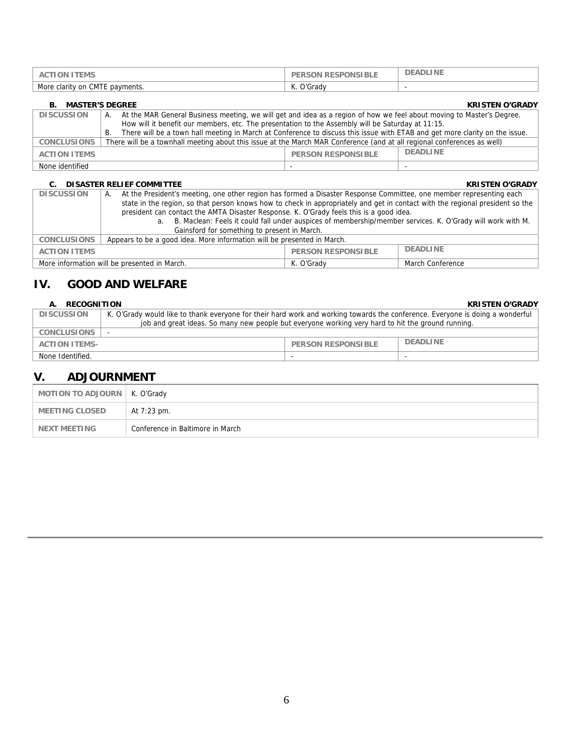| ΈMS<br>AC<br>.ON.                                          | <b>FSPONSIBLE</b><br>⊿π<br>RE<br>JN. | LINE<br>DEAD |
|------------------------------------------------------------|--------------------------------------|--------------|
| More<br>$\bigcap_{n}$<br>CMTE payments.<br>. clarity<br>on | ∩'Grad\                              | . .          |

| <b>MASTER'S DEGREE</b><br><b>KRISTEN O'GRADY</b><br>В. |                                                                                                                                   |                           |                 |  |
|--------------------------------------------------------|-----------------------------------------------------------------------------------------------------------------------------------|---------------------------|-----------------|--|
| <b>DISCUSSION</b>                                      | At the MAR General Business meeting, we will get and idea as a region of how we feel about moving to Master's Degree.<br>А.       |                           |                 |  |
|                                                        | How will it benefit our members, etc. The presentation to the Assembly will be Saturday at 11:15.                                 |                           |                 |  |
|                                                        | There will be a town hall meeting in March at Conference to discuss this issue with ETAB and get more clarity on the issue.<br>В. |                           |                 |  |
| <b>CONCLUSIONS</b>                                     | There will be a townhall meeting about this issue at the March MAR Conference (and at all regional conferences as well)           |                           |                 |  |
| <b>ACTION ITEMS</b>                                    |                                                                                                                                   | <b>PERSON RESPONSIBLE</b> | <b>DEADLINE</b> |  |
| None identified                                        |                                                                                                                                   |                           |                 |  |

#### **C. DISASTER RELIEF COMMITTEE COMMITTEE KRISTEN O'GRADY**

| <b>DISCUSSION</b>                                                   | At the President's meeting, one other region has formed a Disaster Response Committee, one member representing each<br>А.     |  |  |  |  |
|---------------------------------------------------------------------|-------------------------------------------------------------------------------------------------------------------------------|--|--|--|--|
|                                                                     | state in the region, so that person knows how to check in appropriately and get in contact with the regional president so the |  |  |  |  |
|                                                                     | president can contact the AMTA Disaster Response. K. O'Grady feels this is a good idea.                                       |  |  |  |  |
|                                                                     | B. Maclean: Feels it could fall under auspices of membership/member services. K. O'Grady will work with M.<br>a.              |  |  |  |  |
|                                                                     | Gainsford for something to present in March.                                                                                  |  |  |  |  |
| <b>CONCLUSIONS</b>                                                  | Appears to be a good idea. More information will be presented in March.                                                       |  |  |  |  |
| <b>DEADLINE</b><br><b>PERSON RESPONSIBLE</b><br><b>ACTION ITEMS</b> |                                                                                                                               |  |  |  |  |
|                                                                     | More information will be presented in March.<br>K. O'Grady<br>March Conference                                                |  |  |  |  |

## **IV. GOOD AND WELFARE**

## **A. RECOGNITION KRISTEN O'GRADY**

| <b>DISCUSSION</b>    | K. O'Grady would like to thank everyone for their hard work and working towards the conference. Everyone is doing a wonderful |                           |                 |
|----------------------|-------------------------------------------------------------------------------------------------------------------------------|---------------------------|-----------------|
|                      | job and great ideas. So many new people but everyone working very hard to hit the ground running.                             |                           |                 |
| <b>CONCLUSIONS</b>   |                                                                                                                               |                           |                 |
| <b>ACTION ITEMS-</b> |                                                                                                                               | <b>PERSON RESPONSIBLE</b> | <b>DEADLINE</b> |
| None Identified.     |                                                                                                                               | $\overline{\phantom{0}}$  |                 |

## **V. ADJOURNMENT**

| MOTION TO ADJOURN   K. O'Grady |                                  |
|--------------------------------|----------------------------------|
| MEETING CLOSED                 | At 7:23 pm.                      |
| NEXT MEETING                   | Conference in Baltimore in March |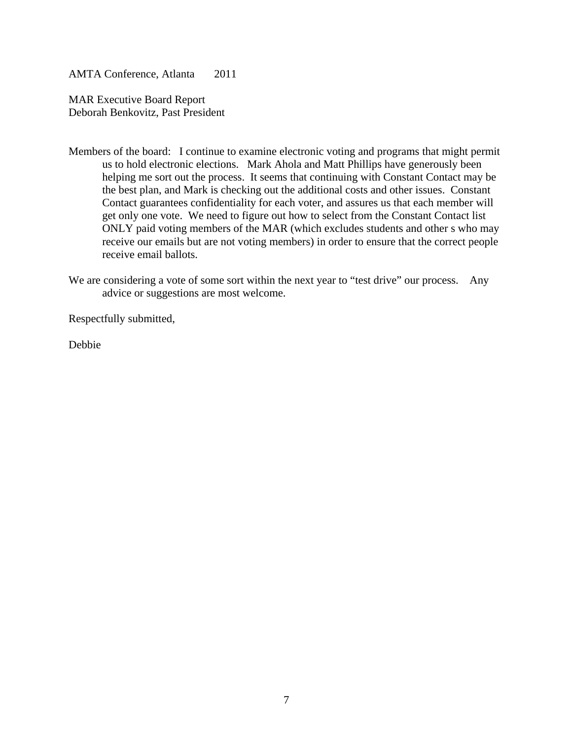AMTA Conference, Atlanta 2011

MAR Executive Board Report Deborah Benkovitz, Past President

Members of the board: I continue to examine electronic voting and programs that might permit us to hold electronic elections. Mark Ahola and Matt Phillips have generously been helping me sort out the process. It seems that continuing with Constant Contact may be the best plan, and Mark is checking out the additional costs and other issues. Constant Contact guarantees confidentiality for each voter, and assures us that each member will get only one vote. We need to figure out how to select from the Constant Contact list ONLY paid voting members of the MAR (which excludes students and other s who may receive our emails but are not voting members) in order to ensure that the correct people receive email ballots.

We are considering a vote of some sort within the next year to "test drive" our process. Any advice or suggestions are most welcome.

Respectfully submitted,

Debbie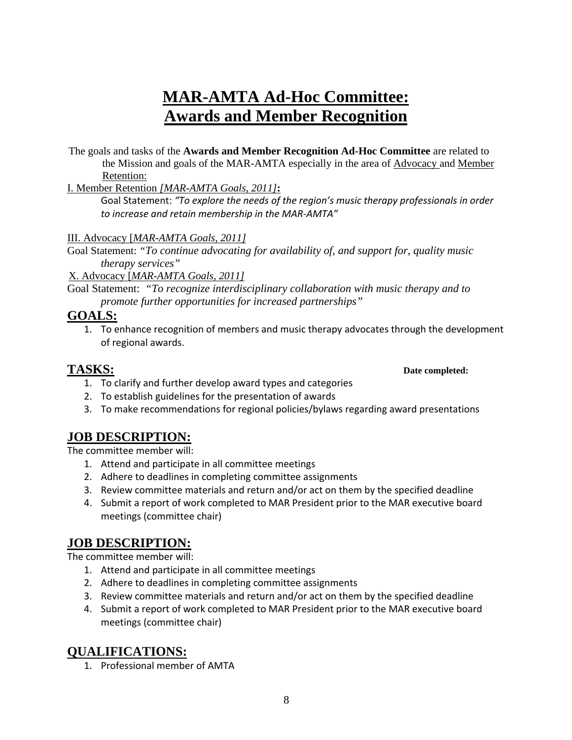# **MAR-AMTA Ad-Hoc Committee: Awards and Member Recognition**

The goals and tasks of the **Awards and Member Recognition Ad-Hoc Committee** are related to the Mission and goals of the MAR-AMTA especially in the area of Advocacy and Member Retention:

I. Member Retention *[MAR-AMTA Goals, 2011]***:** 

Goal Statement: *"To explore the needs of the region's music therapy professionals in order to increase and retain membership in the MAR‐AMTA"*

III. Advocacy [*MAR-AMTA Goals, 2011]* 

Goal Statement: *"To continue advocating for availability of, and support for, quality music therapy services"*

X. Advocacy [*MAR-AMTA Goals, 2011]*

Goal Statement: *"To recognize interdisciplinary collaboration with music therapy and to promote further opportunities for increased partnerships"* 

## **GOALS:**

1. To enhance recognition of members and music therapy advocates through the development of regional awards.

## **TASKS: Date completed:**

- 1. To clarify and further develop award types and categories
- 2. To establish guidelines for the presentation of awards
- 3. To make recommendations for regional policies/bylaws regarding award presentations

## **JOB DESCRIPTION:**

The committee member will:

- 1. Attend and participate in all committee meetings
- 2. Adhere to deadlines in completing committee assignments
- 3. Review committee materials and return and/or act on them by the specified deadline
- 4. Submit a report of work completed to MAR President prior to the MAR executive board meetings (committee chair)

## **JOB DESCRIPTION:**

The committee member will:

- 1. Attend and participate in all committee meetings
- 2. Adhere to deadlines in completing committee assignments
- 3. Review committee materials and return and/or act on them by the specified deadline
- 4. Submit a report of work completed to MAR President prior to the MAR executive board meetings (committee chair)

## **QUALIFICATIONS:**

1. Professional member of AMTA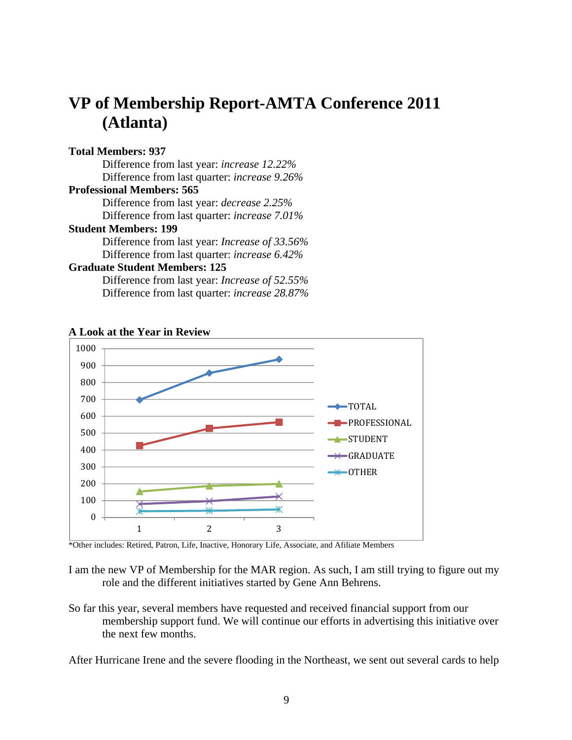# **VP of Membership Report-AMTA Conference 2011 (Atlanta)**

## **Total Members: 937**

 Difference from last year: *increase 12.22%* Difference from last quarter: *increase 9.26%*  **Professional Members: 565**  Difference from last year: *decrease 2.25%*  Difference from last quarter: *increase 7.01%*

## **Student Members: 199**

Difference from last year: *Increase of 33.56%*  Difference from last quarter: *increase 6.42%* 

## **Graduate Student Members: 125**

Difference from last year: *Increase of 52.55%*  Difference from last quarter: *increase 28.87%* 



## **A Look at the Year in Review**

\*Other includes: Retired, Patron, Life, Inactive, Honorary Life, Associate, and Afiliate Members

I am the new VP of Membership for the MAR region. As such, I am still trying to figure out my role and the different initiatives started by Gene Ann Behrens.

So far this year, several members have requested and received financial support from our membership support fund. We will continue our efforts in advertising this initiative over the next few months.

After Hurricane Irene and the severe flooding in the Northeast, we sent out several cards to help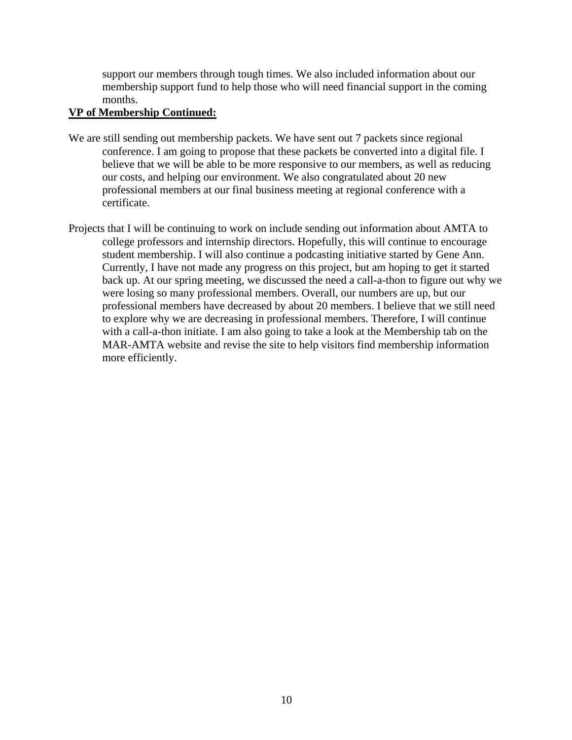support our members through tough times. We also included information about our membership support fund to help those who will need financial support in the coming months.

## **VP of Membership Continued:**

- We are still sending out membership packets. We have sent out 7 packets since regional conference. I am going to propose that these packets be converted into a digital file. I believe that we will be able to be more responsive to our members, as well as reducing our costs, and helping our environment. We also congratulated about 20 new professional members at our final business meeting at regional conference with a certificate.
- Projects that I will be continuing to work on include sending out information about AMTA to college professors and internship directors. Hopefully, this will continue to encourage student membership. I will also continue a podcasting initiative started by Gene Ann. Currently, I have not made any progress on this project, but am hoping to get it started back up. At our spring meeting, we discussed the need a call-a-thon to figure out why we were losing so many professional members. Overall, our numbers are up, but our professional members have decreased by about 20 members. I believe that we still need to explore why we are decreasing in professional members. Therefore, I will continue with a call-a-thon initiate. I am also going to take a look at the Membership tab on the MAR-AMTA website and revise the site to help visitors find membership information more efficiently.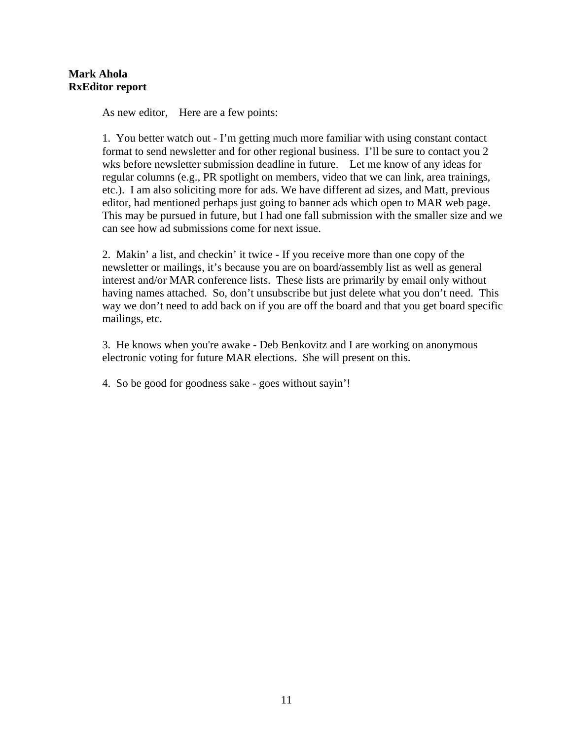As new editor, Here are a few points:

1. You better watch out - I'm getting much more familiar with using constant contact format to send newsletter and for other regional business. I'll be sure to contact you 2 wks before newsletter submission deadline in future. Let me know of any ideas for regular columns (e.g., PR spotlight on members, video that we can link, area trainings, etc.). I am also soliciting more for ads. We have different ad sizes, and Matt, previous editor, had mentioned perhaps just going to banner ads which open to MAR web page. This may be pursued in future, but I had one fall submission with the smaller size and we can see how ad submissions come for next issue.

2. Makin' a list, and checkin' it twice - If you receive more than one copy of the newsletter or mailings, it's because you are on board/assembly list as well as general interest and/or MAR conference lists. These lists are primarily by email only without having names attached. So, don't unsubscribe but just delete what you don't need. This way we don't need to add back on if you are off the board and that you get board specific mailings, etc.

3. He knows when you're awake - Deb Benkovitz and I are working on anonymous electronic voting for future MAR elections. She will present on this.

4. So be good for goodness sake - goes without sayin'!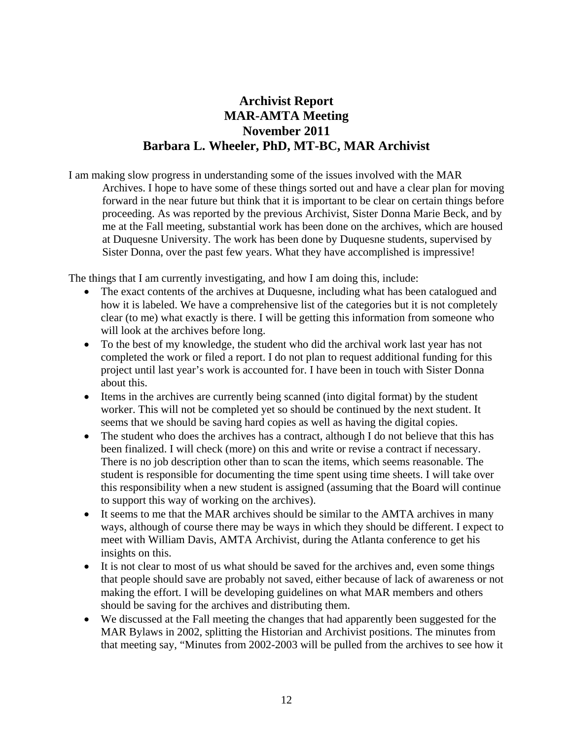## **Archivist Report MAR-AMTA Meeting November 2011 Barbara L. Wheeler, PhD, MT-BC, MAR Archivist**

I am making slow progress in understanding some of the issues involved with the MAR Archives. I hope to have some of these things sorted out and have a clear plan for moving forward in the near future but think that it is important to be clear on certain things before proceeding. As was reported by the previous Archivist, Sister Donna Marie Beck, and by me at the Fall meeting, substantial work has been done on the archives, which are housed at Duquesne University. The work has been done by Duquesne students, supervised by Sister Donna, over the past few years. What they have accomplished is impressive!

The things that I am currently investigating, and how I am doing this, include:

- The exact contents of the archives at Duquesne, including what has been catalogued and how it is labeled. We have a comprehensive list of the categories but it is not completely clear (to me) what exactly is there. I will be getting this information from someone who will look at the archives before long.
- To the best of my knowledge, the student who did the archival work last year has not completed the work or filed a report. I do not plan to request additional funding for this project until last year's work is accounted for. I have been in touch with Sister Donna about this.
- Items in the archives are currently being scanned (into digital format) by the student worker. This will not be completed yet so should be continued by the next student. It seems that we should be saving hard copies as well as having the digital copies.
- The student who does the archives has a contract, although I do not believe that this has been finalized. I will check (more) on this and write or revise a contract if necessary. There is no job description other than to scan the items, which seems reasonable. The student is responsible for documenting the time spent using time sheets. I will take over this responsibility when a new student is assigned (assuming that the Board will continue to support this way of working on the archives).
- It seems to me that the MAR archives should be similar to the AMTA archives in many ways, although of course there may be ways in which they should be different. I expect to meet with William Davis, AMTA Archivist, during the Atlanta conference to get his insights on this.
- It is not clear to most of us what should be saved for the archives and, even some things that people should save are probably not saved, either because of lack of awareness or not making the effort. I will be developing guidelines on what MAR members and others should be saving for the archives and distributing them.
- We discussed at the Fall meeting the changes that had apparently been suggested for the MAR Bylaws in 2002, splitting the Historian and Archivist positions. The minutes from that meeting say, "Minutes from 2002-2003 will be pulled from the archives to see how it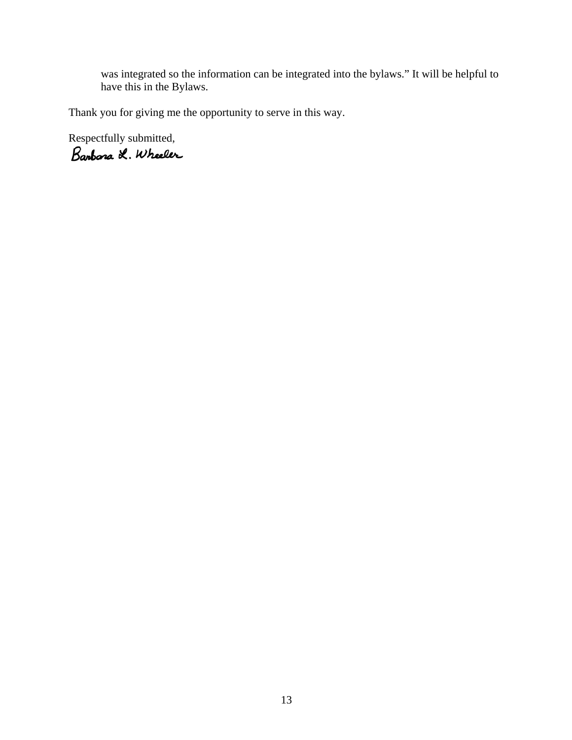was integrated so the information can be integrated into the bylaws." It will be helpful to have this in the Bylaws.

Thank you for giving me the opportunity to serve in this way.

Respectfully submitted,<br>Barbara L. Wheeler